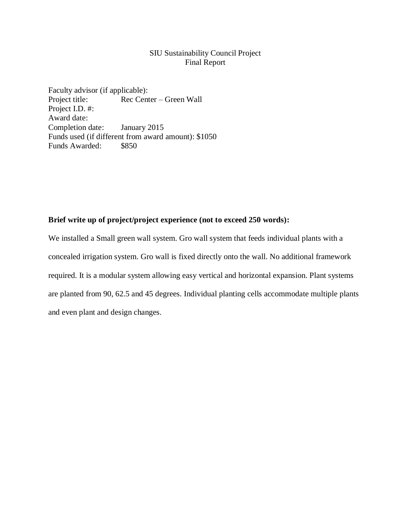#### SIU Sustainability Council Project Final Report

Faculty advisor (if applicable): Project title: Rec Center – Green Wall Project I.D. #: Award date: Completion date: January 2015 Funds used (if different from award amount): \$1050 Funds Awarded: \$850

#### **Brief write up of project/project experience (not to exceed 250 words):**

We installed a Small green wall system. Gro wall system that feeds individual plants with a concealed irrigation system. Gro wall is fixed directly onto the wall. No additional framework required. It is a modular system allowing easy vertical and horizontal expansion. Plant systems are planted from 90, 62.5 and 45 degrees. Individual planting cells accommodate multiple plants and even plant and design changes.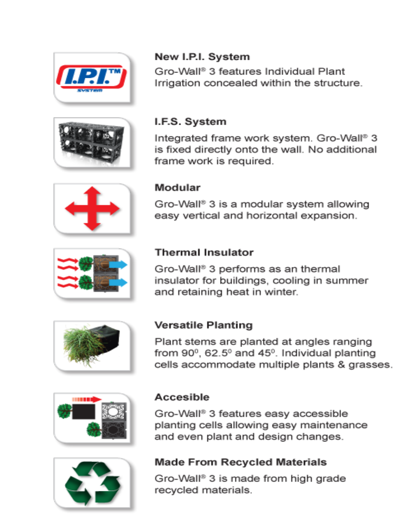



## New I.P.I. System

Gro-Wall® 3 features Individual Plant Irrigation concealed within the structure.



Integrated frame work system. Gro-Wall<sup>®</sup> 3 is fixed directly onto the wall. No additional frame work is required.



# Modular

Gro-Wall<sup>®</sup> 3 is a modular system allowing easy vertical and horizontal expansion.



# **Thermal Insulator**

Gro-Wall<sup>®</sup> 3 performs as an thermal insulator for buildings, cooling in summer and retaining heat in winter.



# **Versatile Planting**

Plant stems are planted at angles ranging from  $90^\circ$ , 62.5 $^\circ$  and 45 $^\circ$ . Individual planting cells accommodate multiple plants & grasses.



### Accesible

Gro-Wall<sup>®</sup> 3 features easy accessible planting cells allowing easy maintenance and even plant and design changes.

# **Made From Recycled Materials**

Gro-Wall<sup>®</sup> 3 is made from high grade recycled materials.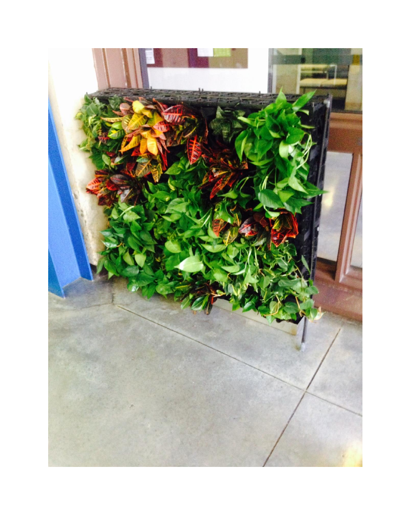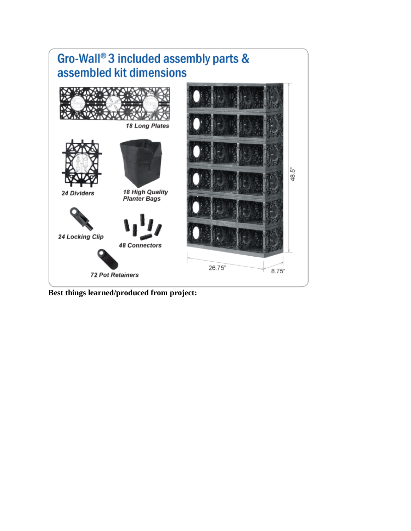# Gro-Wall® 3 included assembly parts & assembled kit dimensions

![](_page_3_Figure_1.jpeg)

**Best things learned/produced from project:**